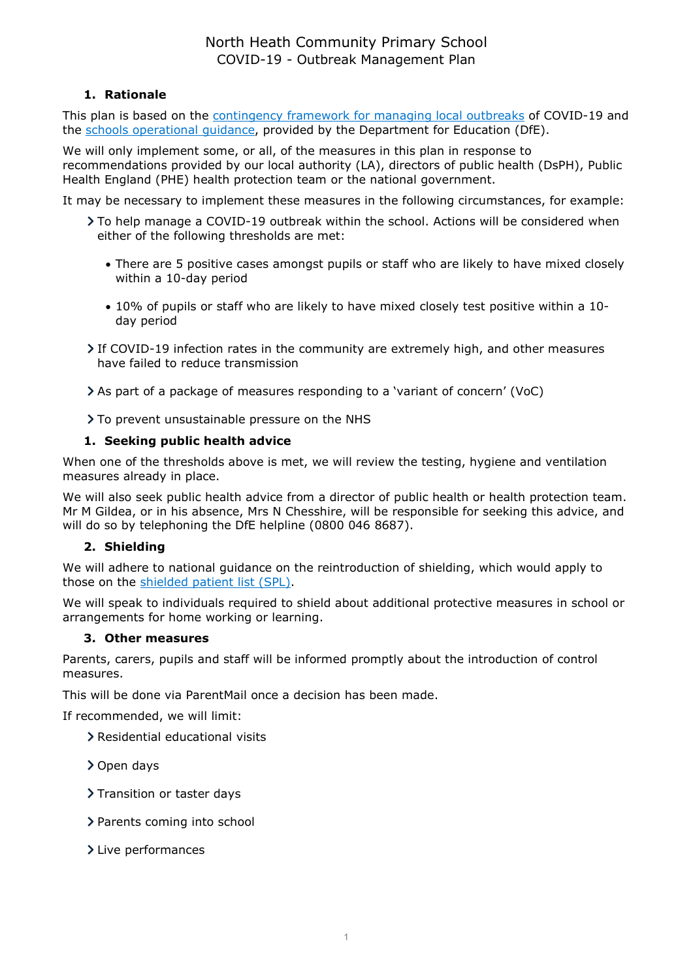# North Heath Community Primary School COVID-19 - Outbreak Management Plan

# 1. Rationale

This plan is based on the contingency framework for managing local outbreaks of COVID-19 and the schools operational guidance, provided by the Department for Education (DfE).

We will only implement some, or all, of the measures in this plan in response to recommendations provided by our local authority (LA), directors of public health (DsPH), Public Health England (PHE) health protection team or the national government.

It may be necessary to implement these measures in the following circumstances, for example:

- To help manage a COVID-19 outbreak within the school. Actions will be considered when either of the following thresholds are met:
	- There are 5 positive cases amongst pupils or staff who are likely to have mixed closely within a 10-day period
	- 10% of pupils or staff who are likely to have mixed closely test positive within a 10 day period
- If COVID-19 infection rates in the community are extremely high, and other measures have failed to reduce transmission

As part of a package of measures responding to a 'variant of concern' (VoC)

> To prevent unsustainable pressure on the NHS

# 1. Seeking public health advice

When one of the thresholds above is met, we will review the testing, hygiene and ventilation measures already in place.

We will also seek public health advice from a director of public health or health protection team. Mr M Gildea, or in his absence, Mrs N Chesshire, will be responsible for seeking this advice, and will do so by telephoning the DfE helpline (0800 046 8687).

# 2. Shielding

We will adhere to national guidance on the reintroduction of shielding, which would apply to those on the shielded patient list (SPL).

We will speak to individuals required to shield about additional protective measures in school or arrangements for home working or learning.

#### 3. Other measures

Parents, carers, pupils and staff will be informed promptly about the introduction of control measures.

This will be done via ParentMail once a decision has been made.

If recommended, we will limit:

- Residential educational visits
- > Open days
- > Transition or taster days
- > Parents coming into school
- > Live performances